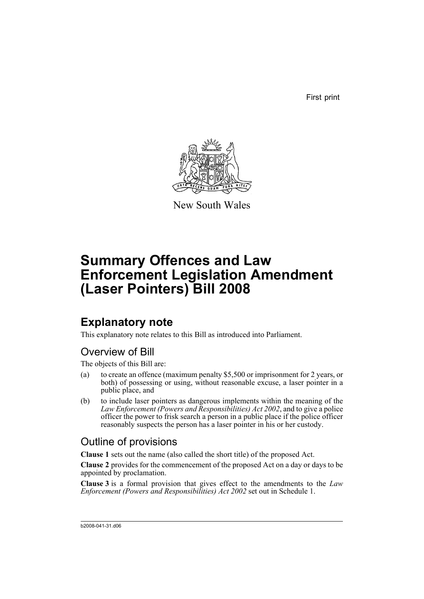First print



New South Wales

# **Summary Offences and Law Enforcement Legislation Amendment (Laser Pointers) Bill 2008**

## **Explanatory note**

This explanatory note relates to this Bill as introduced into Parliament.

### Overview of Bill

The objects of this Bill are:

- (a) to create an offence (maximum penalty \$5,500 or imprisonment for 2 years, or both) of possessing or using, without reasonable excuse, a laser pointer in a public place, and
- (b) to include laser pointers as dangerous implements within the meaning of the *Law Enforcement (Powers and Responsibilities) Act 2002*, and to give a police officer the power to frisk search a person in a public place if the police officer reasonably suspects the person has a laser pointer in his or her custody.

### Outline of provisions

**Clause 1** sets out the name (also called the short title) of the proposed Act.

**Clause 2** provides for the commencement of the proposed Act on a day or days to be appointed by proclamation.

**Clause 3** is a formal provision that gives effect to the amendments to the *Law Enforcement (Powers and Responsibilities) Act 2002* set out in Schedule 1.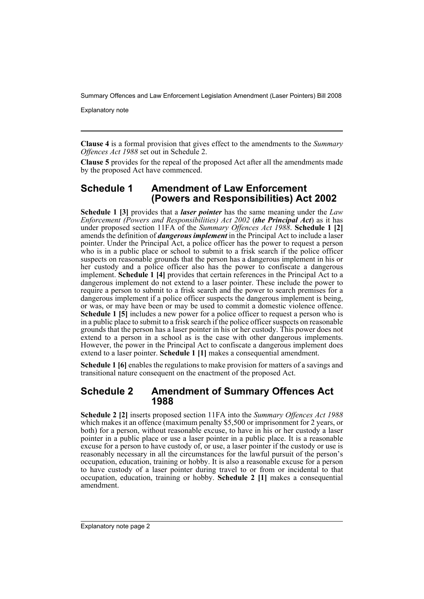Explanatory note

**Clause 4** is a formal provision that gives effect to the amendments to the *Summary Offences Act 1988* set out in Schedule 2.

**Clause 5** provides for the repeal of the proposed Act after all the amendments made by the proposed Act have commenced.

### **Schedule 1 Amendment of Law Enforcement (Powers and Responsibilities) Act 2002**

**Schedule 1 [3]** provides that a *laser pointer* has the same meaning under the *Law Enforcement (Powers and Responsibilities) Act 2002* (*the Principal Act*) as it has under proposed section 11FA of the *Summary Offences Act 1988*. **Schedule 1 [2]** amends the definition of *dangerous implement* in the Principal Act to include a laser pointer. Under the Principal Act, a police officer has the power to request a person who is in a public place or school to submit to a frisk search if the police officer suspects on reasonable grounds that the person has a dangerous implement in his or her custody and a police officer also has the power to confiscate a dangerous implement. **Schedule 1 [4]** provides that certain references in the Principal Act to a dangerous implement do not extend to a laser pointer. These include the power to require a person to submit to a frisk search and the power to search premises for a dangerous implement if a police officer suspects the dangerous implement is being, or was, or may have been or may be used to commit a domestic violence offence. **Schedule 1 [5]** includes a new power for a police officer to request a person who is in a public place to submit to a frisk search if the police officer suspects on reasonable grounds that the person has a laser pointer in his or her custody. This power does not extend to a person in a school as is the case with other dangerous implements. However, the power in the Principal Act to confiscate a dangerous implement does extend to a laser pointer. **Schedule 1 [1]** makes a consequential amendment.

**Schedule 1 [6]** enables the regulations to make provision for matters of a savings and transitional nature consequent on the enactment of the proposed Act.

#### **Schedule 2 Amendment of Summary Offences Act 1988**

**Schedule 2 [2]** inserts proposed section 11FA into the *Summary Offences Act 1988* which makes it an offence (maximum penalty \$5,500 or imprisonment for 2 years, or both) for a person, without reasonable excuse, to have in his or her custody a laser pointer in a public place or use a laser pointer in a public place. It is a reasonable excuse for a person to have custody of, or use, a laser pointer if the custody or use is reasonably necessary in all the circumstances for the lawful pursuit of the person's occupation, education, training or hobby. It is also a reasonable excuse for a person to have custody of a laser pointer during travel to or from or incidental to that occupation, education, training or hobby. **Schedule 2 [1]** makes a consequential amendment.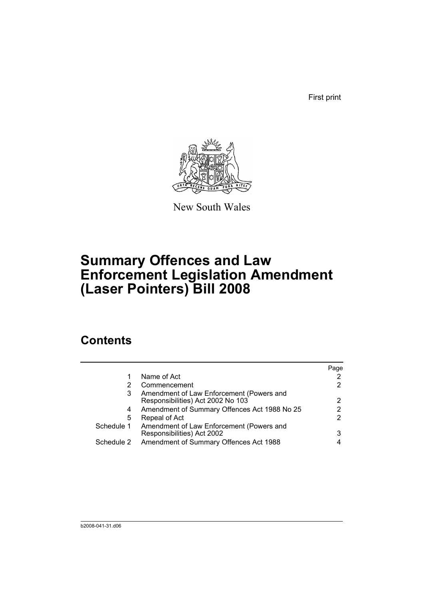First print



New South Wales

# **Summary Offences and Law Enforcement Legislation Amendment (Laser Pointers) Bill 2008**

## **Contents**

|            |                                                                               | Page |
|------------|-------------------------------------------------------------------------------|------|
| 1          | Name of Act                                                                   |      |
| 2          | Commencement                                                                  |      |
| 3          | Amendment of Law Enforcement (Powers and<br>Responsibilities) Act 2002 No 103 | 2    |
| 4          | Amendment of Summary Offences Act 1988 No 25                                  |      |
| 5          | Repeal of Act                                                                 | 2    |
| Schedule 1 | Amendment of Law Enforcement (Powers and<br>Responsibilities) Act 2002        | 3    |
| Schedule 2 | Amendment of Summary Offences Act 1988                                        |      |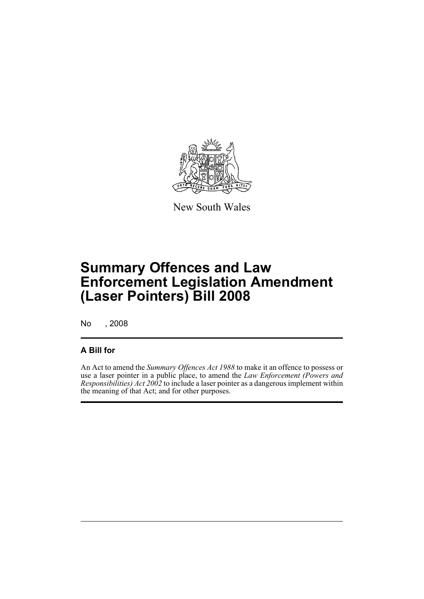

New South Wales

# **Summary Offences and Law Enforcement Legislation Amendment (Laser Pointers) Bill 2008**

No , 2008

### **A Bill for**

An Act to amend the *Summary Offences Act 1988* to make it an offence to possess or use a laser pointer in a public place, to amend the *Law Enforcement (Powers and Responsibilities) Act 2002* to include a laser pointer as a dangerous implement within the meaning of that Act; and for other purposes.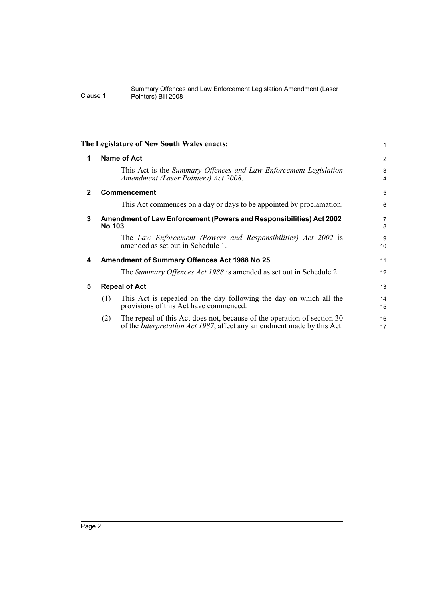<span id="page-5-4"></span><span id="page-5-3"></span><span id="page-5-2"></span><span id="page-5-1"></span><span id="page-5-0"></span>

|              |                                                                                      | The Legislature of New South Wales enacts:                                                                                                                | 1                   |  |
|--------------|--------------------------------------------------------------------------------------|-----------------------------------------------------------------------------------------------------------------------------------------------------------|---------------------|--|
| 1            |                                                                                      | Name of Act                                                                                                                                               | 2                   |  |
|              |                                                                                      | This Act is the Summary Offences and Law Enforcement Legislation<br>Amendment (Laser Pointers) Act 2008.                                                  | 3<br>$\overline{4}$ |  |
| $\mathbf{2}$ |                                                                                      | <b>Commencement</b>                                                                                                                                       | 5                   |  |
|              |                                                                                      | This Act commences on a day or days to be appointed by proclamation.                                                                                      | 6                   |  |
| 3            | Amendment of Law Enforcement (Powers and Responsibilities) Act 2002<br><b>No 103</b> |                                                                                                                                                           |                     |  |
|              |                                                                                      | The Law Enforcement (Powers and Responsibilities) Act 2002 is<br>amended as set out in Schedule 1.                                                        | 9<br>10             |  |
| 4            | Amendment of Summary Offences Act 1988 No 25                                         |                                                                                                                                                           |                     |  |
|              |                                                                                      | The Summary Offences Act 1988 is amended as set out in Schedule 2.                                                                                        | 12                  |  |
| 5            | <b>Repeal of Act</b>                                                                 |                                                                                                                                                           | 13                  |  |
|              | (1)                                                                                  | This Act is repealed on the day following the day on which all the<br>provisions of this Act have commenced.                                              | 14<br>15            |  |
|              | (2)                                                                                  | The repeal of this Act does not, because of the operation of section 30<br>of the <i>Interpretation Act 1987</i> , affect any amendment made by this Act. | 16<br>17            |  |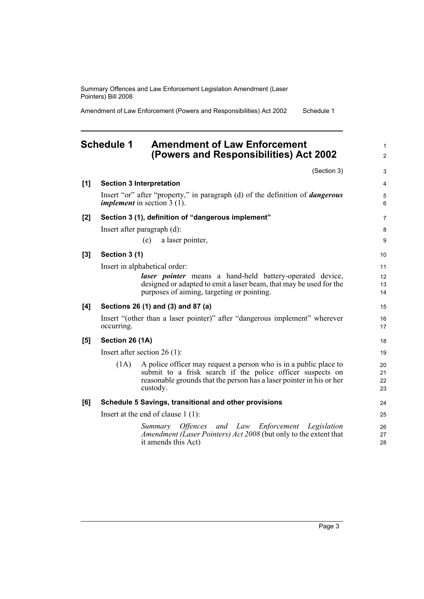Amendment of Law Enforcement (Powers and Responsibilities) Act 2002 Schedule 1

### <span id="page-6-0"></span>**Schedule 1 Amendment of Law Enforcement (Powers and Responsibilities) Act 2002**

(Section 3)

1 2

3

| [1]              |                                      | <b>Section 3 Interpretation</b>                                                                                                                                                                                     | 4                    |
|------------------|--------------------------------------|---------------------------------------------------------------------------------------------------------------------------------------------------------------------------------------------------------------------|----------------------|
|                  |                                      | Insert "or" after "property," in paragraph (d) of the definition of <i>dangerous</i><br><i>implement</i> in section $3(1)$ .                                                                                        | 5<br>6               |
| [2]              |                                      | Section 3 (1), definition of "dangerous implement"                                                                                                                                                                  | $\overline{7}$       |
|                  |                                      | Insert after paragraph $(d)$ :                                                                                                                                                                                      | 8                    |
|                  |                                      | (e) a laser pointer,                                                                                                                                                                                                | 9                    |
| $\left[3\right]$ | Section 3 (1)                        |                                                                                                                                                                                                                     | 10                   |
|                  |                                      | Insert in alphabetical order:                                                                                                                                                                                       | 11                   |
|                  |                                      | <i>laser pointer</i> means a hand-held battery-operated device,<br>designed or adapted to emit a laser beam, that may be used for the                                                                               | 12<br>13<br>14       |
|                  |                                      | purposes of aiming, targeting or pointing.                                                                                                                                                                          |                      |
| [4]              |                                      | Sections 26 (1) and (3) and 87 (a)                                                                                                                                                                                  | 15                   |
|                  | occurring.                           | Insert "(other than a laser pointer)" after "dangerous implement" wherever                                                                                                                                          | 16<br>17             |
| [5]              | Section 26 (1A)                      |                                                                                                                                                                                                                     | 18                   |
|                  | Insert after section 26 $(1)$ :      |                                                                                                                                                                                                                     | 19                   |
|                  | (1A)                                 | A police officer may request a person who is in a public place to<br>submit to a frisk search if the police officer suspects on<br>reasonable grounds that the person has a laser pointer in his or her<br>custody. | 20<br>21<br>22<br>23 |
| [6]              |                                      | Schedule 5 Savings, transitional and other provisions                                                                                                                                                               | 24                   |
|                  | Insert at the end of clause $1(1)$ : |                                                                                                                                                                                                                     | 25                   |
|                  |                                      | Summary Offences and Law Enforcement Legislation<br>Amendment (Laser Pointers) Act 2008 (but only to the extent that<br>it amends this Act)                                                                         | 26<br>27<br>28       |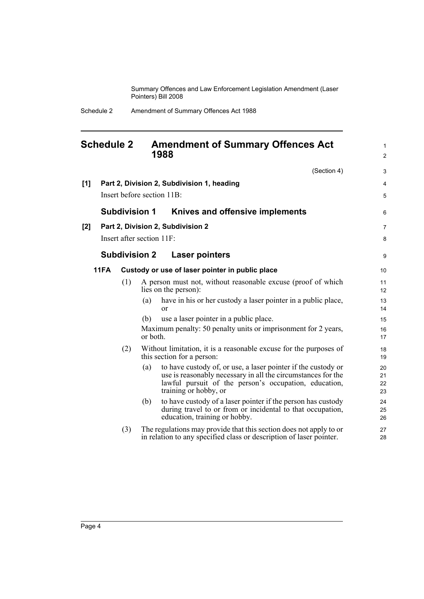> 1 2

#### <span id="page-7-0"></span>**Schedule 2 Amendment of Summary Offences Act 1988**

(Section 4) **[1] Part 2, Division 2, Subdivision 1, heading** Insert before section 11B: **Subdivision 1 Knives and offensive implements [2] Part 2, Division 2, Subdivision 2** Insert after section 11F: **Subdivision 2 Laser pointers 11FA Custody or use of laser pointer in public place** (1) A person must not, without reasonable excuse (proof of which lies on the person): (a) have in his or her custody a laser pointer in a public place, or (b) use a laser pointer in a public place. Maximum penalty: 50 penalty units or imprisonment for 2 years, or both. (2) Without limitation, it is a reasonable excuse for the purposes of this section for a person: (a) to have custody of, or use, a laser pointer if the custody or use is reasonably necessary in all the circumstances for the lawful pursuit of the person's occupation, education, training or hobby, or (b) to have custody of a laser pointer if the person has custody during travel to or from or incidental to that occupation, education, training or hobby. (3) The regulations may provide that this section does not apply to or in relation to any specified class or description of laser pointer. 3 4 5 6 7 8 9 10 11 12 13 14 15 16 17 18 19 20 21 22 23 24 25 26 27 28